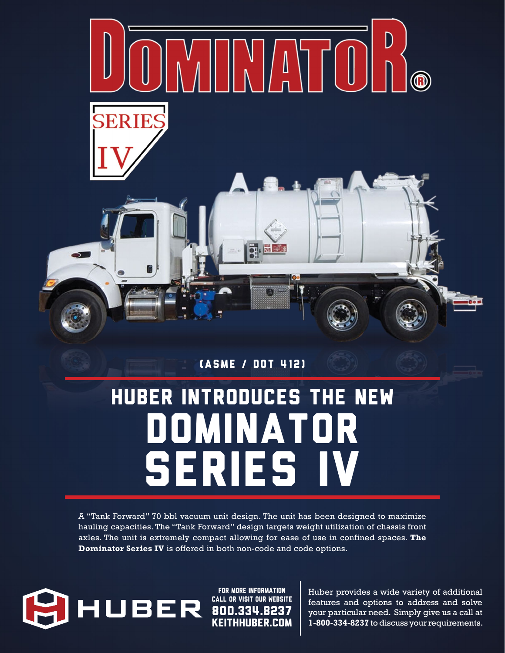

(ASME / DOT 412)

# Huber introduces the new DominatoR SERIES IV

A "Tank Forward" 70 bbl vacuum unit design. The unit has been designed to maximize hauling capacities. The "Tank Forward" design targets weight utilization of chassis front axles. The unit is extremely compact allowing for ease of use in confined spaces. **The Dominator Series IV** is offered in both non-code and code options.



KEITHHUBER.COM FOR MORE INFORMATION CALL OR VISIT OUR WEBSITE

Huber provides a wide variety of additional features and options to address and solve your particular need. Simply give us a call at **1-800-334-8237** to discuss your requirements.